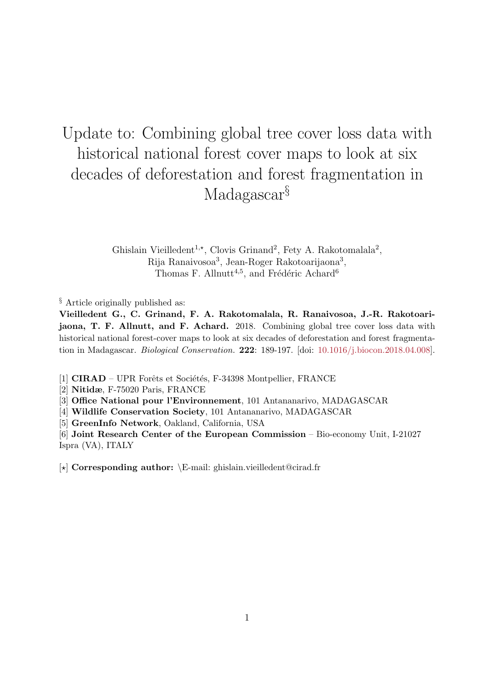# Update to: Combining global tree cover loss data with historical national forest cover maps to look at six decades of deforestation and forest fragmentation in Madagascar<sup>§</sup>

Ghislain Vieilledent<sup>1,\*</sup>, Clovis Grinand<sup>2</sup>, Fety A. Rakotomalala<sup>2</sup>, Rija Ranaivosoa<sup>3</sup>, Jean-Roger Rakotoarijaona<sup>3</sup>, Thomas F. Allnutt<sup>4,5</sup>, and Frédéric Achard<sup>6</sup>

§ Article originally published as:

Vieilledent G., C. Grinand, F. A. Rakotomalala, R. Ranaivosoa, J.-R. Rakotoarijaona, T. F. Allnutt, and F. Achard. 2018. Combining global tree cover loss data with historical national forest-cover maps to look at six decades of deforestation and forest fragmentation in Madagascar. Biological Conservation. 222: 189-197. [doi: [10.1016/j.biocon.2018.04.008\]](https://doi.org/10.1016/j.biocon.2018.04.008).

[1] CIRAD – UPR Forêts et Sociétés, F-34398 Montpellier, FRANCE

[2] Nitidæ, F-75020 Paris, FRANCE

[3] Office National pour l'Environnement, 101 Antananarivo, MADAGASCAR

[4] Wildlife Conservation Society, 101 Antananarivo, MADAGASCAR

[5] GreenInfo Network, Oakland, California, USA

[6] Joint Research Center of the European Commission – Bio-economy Unit, I-21027 Ispra (VA), ITALY

[?] Corresponding author: \E-mail: ghislain.vieilledent@cirad.fr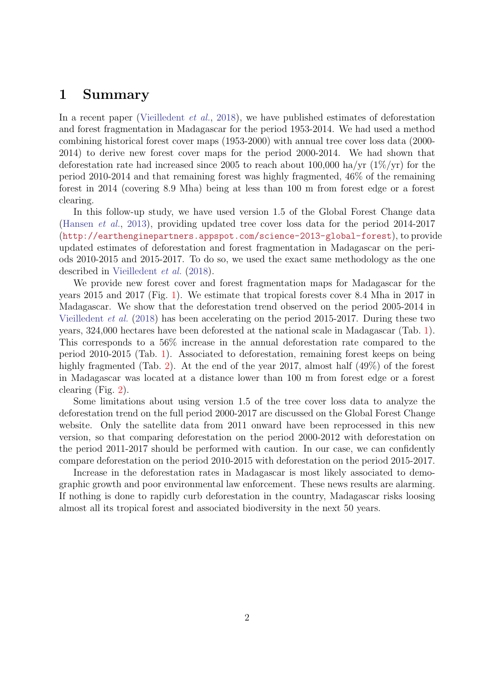#### 1 Summary

In a recent paper [\(Vieilledent](#page-2-0) *et al.*, [2018\)](#page-2-0), we have published estimates of deforestation and forest fragmentation in Madagascar for the period 1953-2014. We had used a method combining historical forest cover maps (1953-2000) with annual tree cover loss data (2000- 2014) to derive new forest cover maps for the period 2000-2014. We had shown that deforestation rate had increased since 2005 to reach about 100,000 ha/yr  $(1\%/\text{yr})$  for the period 2010-2014 and that remaining forest was highly fragmented, 46% of the remaining forest in 2014 (covering 8.9 Mha) being at less than 100 m from forest edge or a forest clearing.

In this follow-up study, we have used version 1.5 of the Global Forest Change data [\(Hansen](#page-2-1) et al., [2013\)](#page-2-1), providing updated tree cover loss data for the period 2014-2017 (<http://earthenginepartners.appspot.com/science-2013-global-forest>), to provide updated estimates of deforestation and forest fragmentation in Madagascar on the periods 2010-2015 and 2015-2017. To do so, we used the exact same methodology as the one described in [Vieilledent](#page-2-0) et al. [\(2018\)](#page-2-0).

We provide new forest cover and forest fragmentation maps for Madagascar for the years 2015 and 2017 (Fig. [1\)](#page-5-0). We estimate that tropical forests cover 8.4 Mha in 2017 in Madagascar. We show that the deforestation trend observed on the period 2005-2014 in [Vieilledent](#page-2-0) et al. [\(2018\)](#page-2-0) has been accelerating on the period 2015-2017. During these two years, 324,000 hectares have been deforested at the national scale in Madagascar (Tab. [1\)](#page-3-0). This corresponds to a 56% increase in the annual deforestation rate compared to the period 2010-2015 (Tab. [1\)](#page-3-0). Associated to deforestation, remaining forest keeps on being highly fragmented (Tab. [2\)](#page-4-0). At the end of the year 2017, almost half  $(49\%)$  of the forest in Madagascar was located at a distance lower than 100 m from forest edge or a forest clearing (Fig. [2\)](#page-6-0).

Some limitations about using version 1.5 of the tree cover loss data to analyze the deforestation trend on the full period 2000-2017 are discussed on the Global Forest Change website. Only the satellite data from 2011 onward have been reprocessed in this new version, so that comparing deforestation on the period 2000-2012 with deforestation on the period 2011-2017 should be performed with caution. In our case, we can confidently compare deforestation on the period 2010-2015 with deforestation on the period 2015-2017.

Increase in the deforestation rates in Madagascar is most likely associated to demographic growth and poor environmental law enforcement. These news results are alarming. If nothing is done to rapidly curb deforestation in the country, Madagascar risks loosing almost all its tropical forest and associated biodiversity in the next 50 years.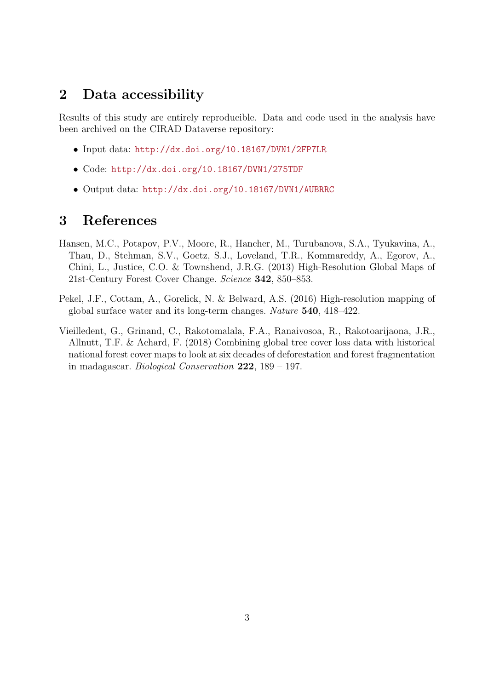### 2 Data accessibility

Results of this study are entirely reproducible. Data and code used in the analysis have been archived on the CIRAD Dataverse repository:

- Input data: <http://dx.doi.org/10.18167/DVN1/2FP7LR>
- Code: <http://dx.doi.org/10.18167/DVN1/275TDF>
- Output data: <http://dx.doi.org/10.18167/DVN1/AUBRRC>

### 3 References

- <span id="page-2-1"></span>Hansen, M.C., Potapov, P.V., Moore, R., Hancher, M., Turubanova, S.A., Tyukavina, A., Thau, D., Stehman, S.V., Goetz, S.J., Loveland, T.R., Kommareddy, A., Egorov, A., Chini, L., Justice, C.O. & Townshend, J.R.G. (2013) High-Resolution Global Maps of 21st-Century Forest Cover Change. Science 342, 850–853.
- <span id="page-2-2"></span>Pekel, J.F., Cottam, A., Gorelick, N. & Belward, A.S. (2016) High-resolution mapping of global surface water and its long-term changes. Nature 540, 418–422.
- <span id="page-2-0"></span>Vieilledent, G., Grinand, C., Rakotomalala, F.A., Ranaivosoa, R., Rakotoarijaona, J.R., Allnutt, T.F. & Achard, F. (2018) Combining global tree cover loss data with historical national forest cover maps to look at six decades of deforestation and forest fragmentation in madagascar. Biological Conservation 222, 189 – 197.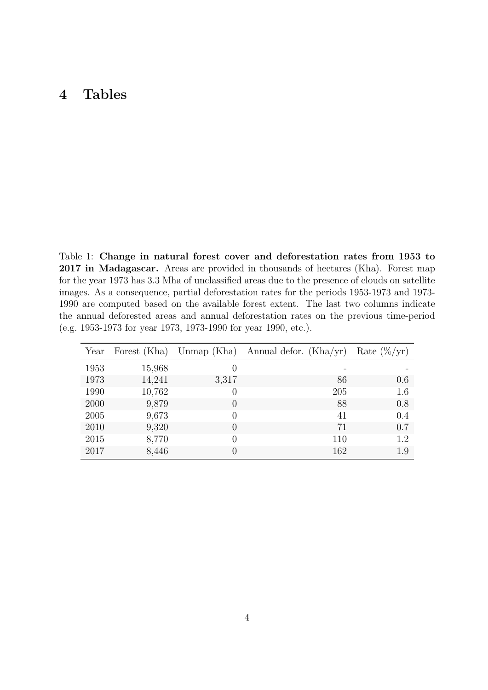### 4 Tables

<span id="page-3-0"></span>Table 1: Change in natural forest cover and deforestation rates from 1953 to 2017 in Madagascar. Areas are provided in thousands of hectares (Kha). Forest map for the year 1973 has 3.3 Mha of unclassified areas due to the presence of clouds on satellite images. As a consequence, partial deforestation rates for the periods 1953-1973 and 1973- 1990 are computed based on the available forest extent. The last two columns indicate the annual deforested areas and annual deforestation rates on the previous time-period (e.g. 1953-1973 for year 1973, 1973-1990 for year 1990, etc.).

| Year | Forest (Kha) |                  | Unmap (Kha) Annual defor. (Kha/yr) | Rate $(\%/yr)$ |
|------|--------------|------------------|------------------------------------|----------------|
| 1953 | 15,968       | $\left( \right)$ |                                    |                |
| 1973 | 14,241       | 3,317            | 86                                 | 0.6            |
| 1990 | 10,762       | $\theta$         | 205                                | 1.6            |
| 2000 | 9,879        | $\theta$         | 88                                 | 0.8            |
| 2005 | 9,673        | $\Omega$         | 41                                 | 0.4            |
| 2010 | 9,320        | $\theta$         | 71                                 | 0.7            |
| 2015 | 8,770        | $\theta$         | 110                                | 1.2            |
| 2017 | 8,446        | 0                | 162                                | 1.9            |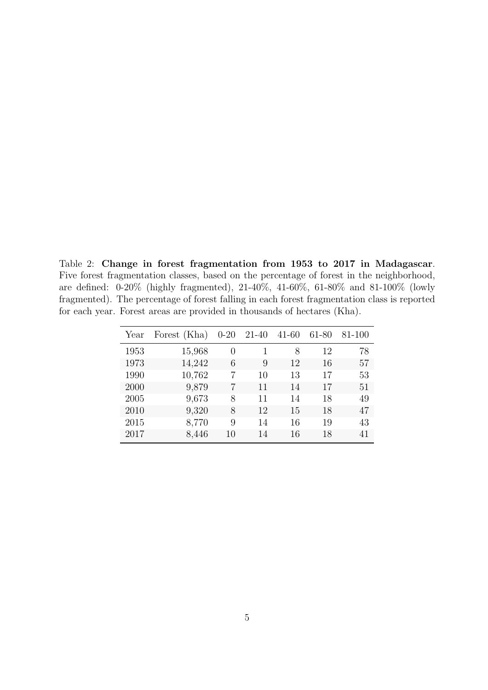<span id="page-4-0"></span>Table 2: Change in forest fragmentation from 1953 to 2017 in Madagascar. Five forest fragmentation classes, based on the percentage of forest in the neighborhood, are defined: 0-20% (highly fragmented), 21-40%, 41-60%, 61-80% and 81-100% (lowly fragmented). The percentage of forest falling in each forest fragmentation class is reported for each year. Forest areas are provided in thousands of hectares (Kha).

| Year | Forest (Kha) | $0 - 20$         | 21-40 | $41 - 60$ | 61-80 | 81-100 |
|------|--------------|------------------|-------|-----------|-------|--------|
| 1953 | 15,968       | $\left( \right)$ |       | 8         | 12    | 78     |
| 1973 | 14,242       | 6                | 9     | 12        | 16    | 57     |
| 1990 | 10,762       |                  | 10    | 13        | 17    | 53     |
| 2000 | 9,879        |                  | 11    | 14        | 17    | 51     |
| 2005 | 9,673        | 8                | 11    | 14        | 18    | 49     |
| 2010 | 9,320        | 8                | 12    | 15        | 18    | 47     |
| 2015 | 8,770        | 9                | 14    | 16        | 19    | 43     |
| 2017 | 8,446        | 10               | 14    | 16        | 18    | 41     |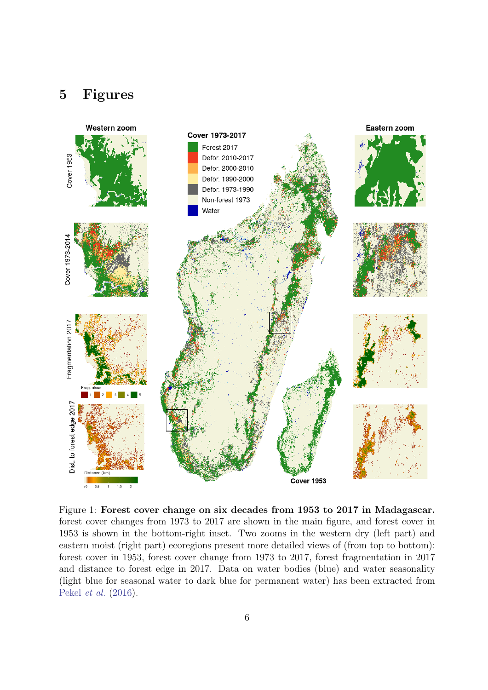## 5 Figures



<span id="page-5-0"></span>Figure 1: Forest cover change on six decades from 1953 to 2017 in Madagascar. forest cover changes from 1973 to 2017 are shown in the main figure, and forest cover in 1953 is shown in the bottom-right inset. Two zooms in the western dry (left part) and eastern moist (right part) ecoregions present more detailed views of (from top to bottom): forest cover in 1953, forest cover change from 1973 to 2017, forest fragmentation in 2017 and distance to forest edge in 2017. Data on water bodies (blue) and water seasonality (light blue for seasonal water to dark blue for permanent water) has been extracted from [Pekel](#page-2-2) et al. [\(2016\)](#page-2-2).